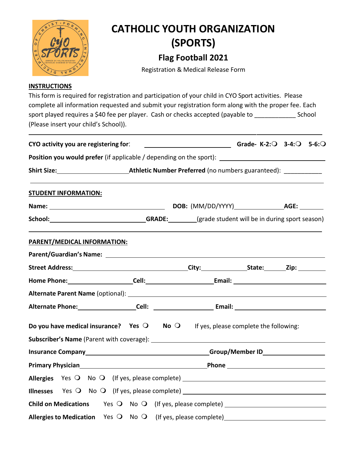

This form is required for registration and participation of your child in CYO Sport activities. Please complete all information requested and submit your registration form along with the proper fee. Each sport played requires a \$40 fee per player. Cash or checks accepted (payable to \_\_\_\_\_\_\_\_\_\_\_\_\_\_\_\_ School (Please insert your child's School)).

| CYO activity you are registering for:                                                                                                                                                                                                | Grade- K-2: Q 3-4: Q 5-6: Q |  |  |  |
|--------------------------------------------------------------------------------------------------------------------------------------------------------------------------------------------------------------------------------------|-----------------------------|--|--|--|
| Position you would prefer (if applicable / depending on the sport): ________________________________                                                                                                                                 |                             |  |  |  |
|                                                                                                                                                                                                                                      |                             |  |  |  |
| <b>STUDENT INFORMATION:</b>                                                                                                                                                                                                          |                             |  |  |  |
|                                                                                                                                                                                                                                      |                             |  |  |  |
|                                                                                                                                                                                                                                      |                             |  |  |  |
| PARENT/MEDICAL INFORMATION:                                                                                                                                                                                                          |                             |  |  |  |
|                                                                                                                                                                                                                                      |                             |  |  |  |
|                                                                                                                                                                                                                                      |                             |  |  |  |
|                                                                                                                                                                                                                                      |                             |  |  |  |
|                                                                                                                                                                                                                                      |                             |  |  |  |
|                                                                                                                                                                                                                                      |                             |  |  |  |
| Do you have medical insurance? Yes $\bigcirc$ No $\bigcirc$ If yes, please complete the following:                                                                                                                                   |                             |  |  |  |
|                                                                                                                                                                                                                                      |                             |  |  |  |
| Primary Physician <b>Exercise Contract Contract Contract Contract Contract Contract Contract Contract Contract Contract Contract Contract Contract Contract Contract Contract Contract Contract Contract Contract Contract Contr</b> |                             |  |  |  |
| Allergies Yes O No O (If yes, please complete) __________________________________                                                                                                                                                    |                             |  |  |  |
| Illnesses Yes O No O (If yes, please complete) _________________________________                                                                                                                                                     |                             |  |  |  |
| Child on Medications Yes O No O (If yes, please complete) ______________________                                                                                                                                                     |                             |  |  |  |
|                                                                                                                                                                                                                                      |                             |  |  |  |